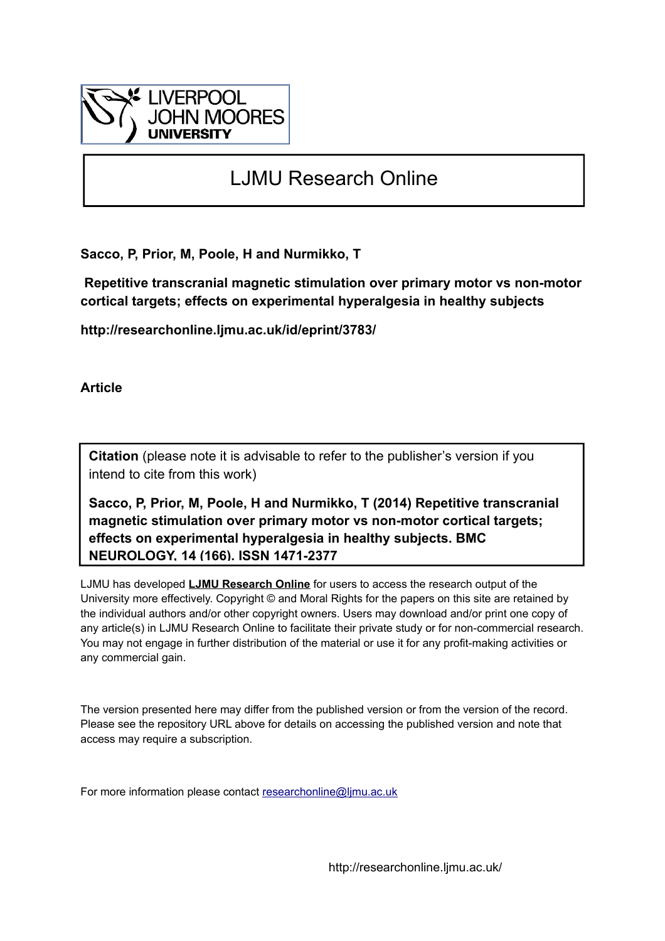

## LJMU Research Online

**Sacco, P, Prior, M, Poole, H and Nurmikko, T**

 **Repetitive transcranial magnetic stimulation over primary motor vs non-motor cortical targets; effects on experimental hyperalgesia in healthy subjects**

**http://researchonline.ljmu.ac.uk/id/eprint/3783/**

**Article**

**Citation** (please note it is advisable to refer to the publisher's version if you intend to cite from this work)

**Sacco, P, Prior, M, Poole, H and Nurmikko, T (2014) Repetitive transcranial magnetic stimulation over primary motor vs non-motor cortical targets; effects on experimental hyperalgesia in healthy subjects. BMC NEUROLOGY, 14 (166). ISSN 1471-2377** 

LJMU has developed **[LJMU Research Online](http://researchonline.ljmu.ac.uk/)** for users to access the research output of the University more effectively. Copyright © and Moral Rights for the papers on this site are retained by the individual authors and/or other copyright owners. Users may download and/or print one copy of any article(s) in LJMU Research Online to facilitate their private study or for non-commercial research. You may not engage in further distribution of the material or use it for any profit-making activities or any commercial gain.

The version presented here may differ from the published version or from the version of the record. Please see the repository URL above for details on accessing the published version and note that access may require a subscription.

For more information please contact [researchonline@ljmu.ac.uk](mailto:researchonline@ljmu.ac.uk)

http://researchonline.ljmu.ac.uk/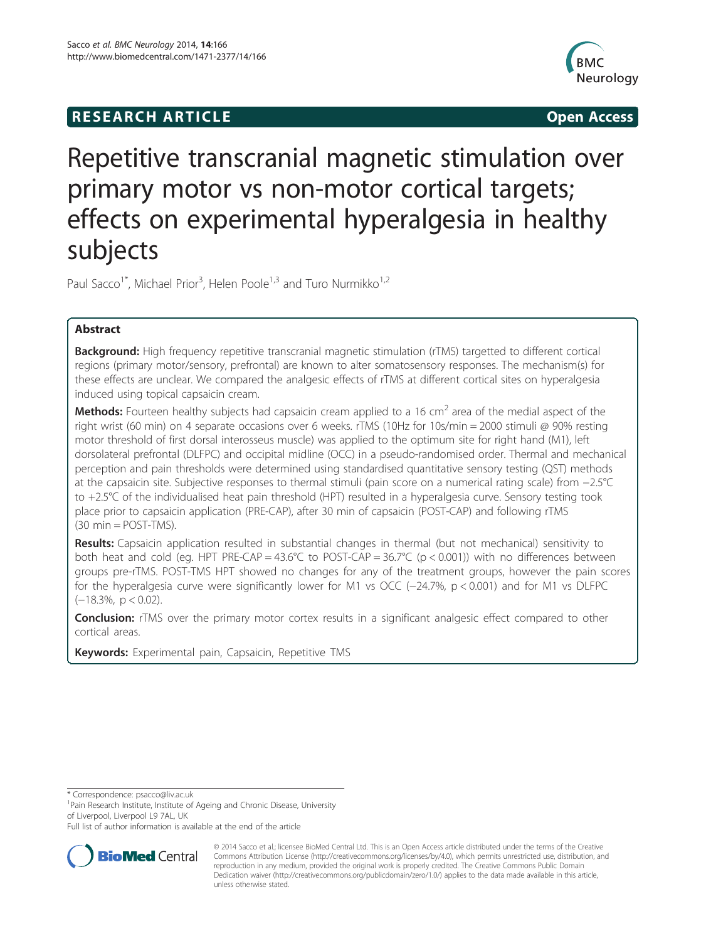## **RESEARCH ARTICLE Example 2014 12:30 The SEAR CHA RESEARCH ARTICLE**



# Repetitive transcranial magnetic stimulation over primary motor vs non-motor cortical targets; effects on experimental hyperalgesia in healthy subjects

Paul Sacco<sup>1\*</sup>, Michael Prior<sup>3</sup>, Helen Poole<sup>1,3</sup> and Turo Nurmikko<sup>1,2</sup>

### Abstract

Background: High frequency repetitive transcranial magnetic stimulation (rTMS) targetted to different cortical regions (primary motor/sensory, prefrontal) are known to alter somatosensory responses. The mechanism(s) for these effects are unclear. We compared the analgesic effects of rTMS at different cortical sites on hyperalgesia induced using topical capsaicin cream.

Methods: Fourteen healthy subjects had capsaicin cream applied to a 16 cm<sup>2</sup> area of the medial aspect of the right wrist (60 min) on 4 separate occasions over 6 weeks. rTMS (10Hz for 10s/min = 2000 stimuli @ 90% resting motor threshold of first dorsal interosseus muscle) was applied to the optimum site for right hand (M1), left dorsolateral prefrontal (DLFPC) and occipital midline (OCC) in a pseudo-randomised order. Thermal and mechanical perception and pain thresholds were determined using standardised quantitative sensory testing (QST) methods at the capsaicin site. Subjective responses to thermal stimuli (pain score on a numerical rating scale) from −2.5°C to +2.5°C of the individualised heat pain threshold (HPT) resulted in a hyperalgesia curve. Sensory testing took place prior to capsaicin application (PRE-CAP), after 30 min of capsaicin (POST-CAP) and following rTMS  $(30 \text{ min} = \text{POST-TMS}).$ 

Results: Capsaicin application resulted in substantial changes in thermal (but not mechanical) sensitivity to both heat and cold (eg. HPT PRE-CAP =  $43.6^{\circ}$ C to POST-CAP =  $36.7^{\circ}$ C (p < 0.001)) with no differences between groups pre-rTMS. POST-TMS HPT showed no changes for any of the treatment groups, however the pain scores for the hyperalgesia curve were significantly lower for M1 vs OCC (−24.7%, p < 0.001) and for M1 vs DLFPC (−18.3%, p < 0.02).

**Conclusion:** rTMS over the primary motor cortex results in a significant analgesic effect compared to other cortical areas.

Keywords: Experimental pain, Capsaicin, Repetitive TMS

\* Correspondence: [psacco@liv.ac.uk](mailto:psacco@liv.ac.uk) <sup>1</sup>

<sup>1</sup>Pain Research Institute, Institute of Ageing and Chronic Disease, University of Liverpool, Liverpool L9 7AL, UK

Full list of author information is available at the end of the article



<sup>© 2014</sup> Sacco et al.; licensee BioMed Central Ltd. This is an Open Access article distributed under the terms of the Creative Commons Attribution License [\(http://creativecommons.org/licenses/by/4.0\)](http://creativecommons.org/licenses/by/4.0), which permits unrestricted use, distribution, and reproduction in any medium, provided the original work is properly credited. The Creative Commons Public Domain Dedication waiver [\(http://creativecommons.org/publicdomain/zero/1.0/](http://creativecommons.org/publicdomain/zero/1.0/)) applies to the data made available in this article, unless otherwise stated.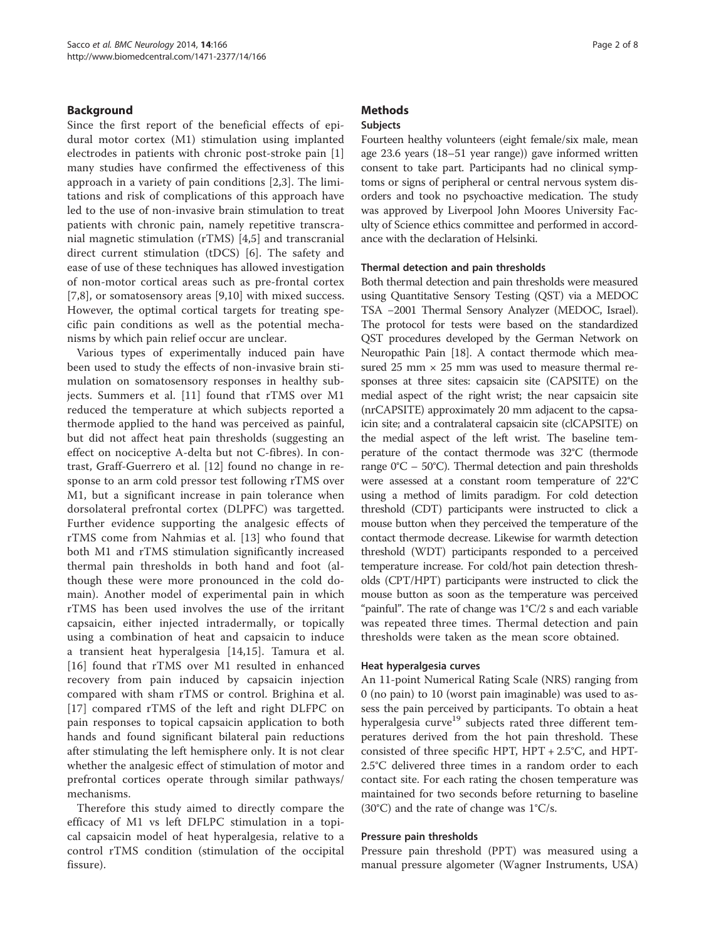#### Background

Since the first report of the beneficial effects of epidural motor cortex (M1) stimulation using implanted electrodes in patients with chronic post-stroke pain [\[1](#page-7-0)] many studies have confirmed the effectiveness of this approach in a variety of pain conditions [\[2](#page-7-0),[3\]](#page-7-0). The limitations and risk of complications of this approach have led to the use of non-invasive brain stimulation to treat patients with chronic pain, namely repetitive transcranial magnetic stimulation (rTMS) [\[4](#page-8-0),[5\]](#page-8-0) and transcranial direct current stimulation (tDCS) [\[6](#page-8-0)]. The safety and ease of use of these techniques has allowed investigation of non-motor cortical areas such as pre-frontal cortex [[7,8](#page-8-0)], or somatosensory areas [[9,10\]](#page-8-0) with mixed success. However, the optimal cortical targets for treating specific pain conditions as well as the potential mechanisms by which pain relief occur are unclear.

Various types of experimentally induced pain have been used to study the effects of non-invasive brain stimulation on somatosensory responses in healthy subjects. Summers et al. [\[11](#page-8-0)] found that rTMS over M1 reduced the temperature at which subjects reported a thermode applied to the hand was perceived as painful, but did not affect heat pain thresholds (suggesting an effect on nociceptive A-delta but not C-fibres). In contrast, Graff-Guerrero et al. [[12\]](#page-8-0) found no change in response to an arm cold pressor test following rTMS over M1, but a significant increase in pain tolerance when dorsolateral prefrontal cortex (DLPFC) was targetted. Further evidence supporting the analgesic effects of rTMS come from Nahmias et al. [\[13\]](#page-8-0) who found that both M1 and rTMS stimulation significantly increased thermal pain thresholds in both hand and foot (although these were more pronounced in the cold domain). Another model of experimental pain in which rTMS has been used involves the use of the irritant capsaicin, either injected intradermally, or topically using a combination of heat and capsaicin to induce a transient heat hyperalgesia [[14,15](#page-8-0)]. Tamura et al. [[16](#page-8-0)] found that rTMS over M1 resulted in enhanced recovery from pain induced by capsaicin injection compared with sham rTMS or control. Brighina et al. [[17](#page-8-0)] compared rTMS of the left and right DLFPC on pain responses to topical capsaicin application to both hands and found significant bilateral pain reductions after stimulating the left hemisphere only. It is not clear whether the analgesic effect of stimulation of motor and prefrontal cortices operate through similar pathways/ mechanisms.

Therefore this study aimed to directly compare the efficacy of M1 vs left DFLPC stimulation in a topical capsaicin model of heat hyperalgesia, relative to a control rTMS condition (stimulation of the occipital fissure).

## **Methods**

#### Subjects

Fourteen healthy volunteers (eight female/six male, mean age 23.6 years (18–51 year range)) gave informed written consent to take part. Participants had no clinical symptoms or signs of peripheral or central nervous system disorders and took no psychoactive medication. The study was approved by Liverpool John Moores University Faculty of Science ethics committee and performed in accordance with the declaration of Helsinki.

#### Thermal detection and pain thresholds

Both thermal detection and pain thresholds were measured using Quantitative Sensory Testing (QST) via a MEDOC TSA −2001 Thermal Sensory Analyzer (MEDOC, Israel). The protocol for tests were based on the standardized QST procedures developed by the German Network on Neuropathic Pain [[18](#page-8-0)]. A contact thermode which measured 25 mm  $\times$  25 mm was used to measure thermal responses at three sites: capsaicin site (CAPSITE) on the medial aspect of the right wrist; the near capsaicin site (nrCAPSITE) approximately 20 mm adjacent to the capsaicin site; and a contralateral capsaicin site (clCAPSITE) on the medial aspect of the left wrist. The baseline temperature of the contact thermode was 32°C (thermode range  $0^{\circ}C - 50^{\circ}C$ ). Thermal detection and pain thresholds were assessed at a constant room temperature of 22°C using a method of limits paradigm. For cold detection threshold (CDT) participants were instructed to click a mouse button when they perceived the temperature of the contact thermode decrease. Likewise for warmth detection threshold (WDT) participants responded to a perceived temperature increase. For cold/hot pain detection thresholds (CPT/HPT) participants were instructed to click the mouse button as soon as the temperature was perceived "painful". The rate of change was 1°C/2 s and each variable was repeated three times. Thermal detection and pain thresholds were taken as the mean score obtained.

#### Heat hyperalgesia curves

An 11-point Numerical Rating Scale (NRS) ranging from 0 (no pain) to 10 (worst pain imaginable) was used to assess the pain perceived by participants. To obtain a heat hyperalgesia curve<sup>19</sup> subjects rated three different temperatures derived from the hot pain threshold. These consisted of three specific HPT,  $HPT + 2.5^{\circ}C$ , and  $HPT$ -2.5°C delivered three times in a random order to each contact site. For each rating the chosen temperature was maintained for two seconds before returning to baseline (30°C) and the rate of change was 1°C/s.

#### Pressure pain thresholds

Pressure pain threshold (PPT) was measured using a manual pressure algometer (Wagner Instruments, USA)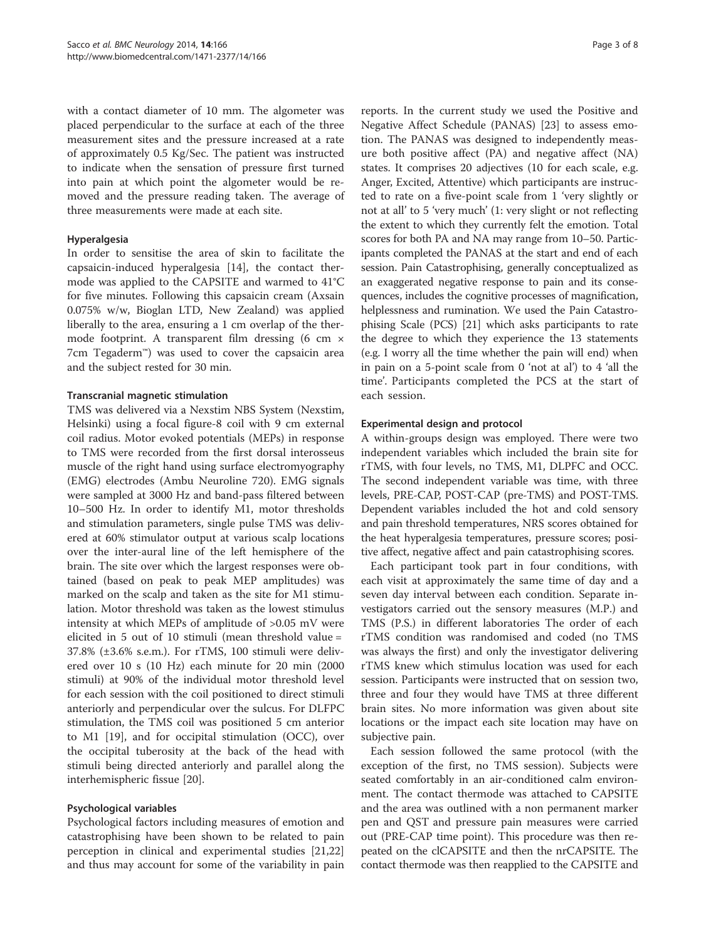with a contact diameter of 10 mm. The algometer was placed perpendicular to the surface at each of the three measurement sites and the pressure increased at a rate of approximately 0.5 Kg/Sec. The patient was instructed to indicate when the sensation of pressure first turned into pain at which point the algometer would be removed and the pressure reading taken. The average of three measurements were made at each site.

#### Hyperalgesia

In order to sensitise the area of skin to facilitate the capsaicin-induced hyperalgesia [[14](#page-8-0)], the contact thermode was applied to the CAPSITE and warmed to 41°C for five minutes. Following this capsaicin cream (Axsain 0.075% w/w, Bioglan LTD, New Zealand) was applied liberally to the area, ensuring a 1 cm overlap of the thermode footprint. A transparent film dressing (6 cm × 7cm Tegaderm™) was used to cover the capsaicin area and the subject rested for 30 min.

#### Transcranial magnetic stimulation

TMS was delivered via a Nexstim NBS System (Nexstim, Helsinki) using a focal figure-8 coil with 9 cm external coil radius. Motor evoked potentials (MEPs) in response to TMS were recorded from the first dorsal interosseus muscle of the right hand using surface electromyography (EMG) electrodes (Ambu Neuroline 720). EMG signals were sampled at 3000 Hz and band-pass filtered between 10–500 Hz. In order to identify M1, motor thresholds and stimulation parameters, single pulse TMS was delivered at 60% stimulator output at various scalp locations over the inter-aural line of the left hemisphere of the brain. The site over which the largest responses were obtained (based on peak to peak MEP amplitudes) was marked on the scalp and taken as the site for M1 stimulation. Motor threshold was taken as the lowest stimulus intensity at which MEPs of amplitude of >0.05 mV were elicited in 5 out of 10 stimuli (mean threshold value = 37.8% (±3.6% s.e.m.). For rTMS, 100 stimuli were delivered over 10 s (10 Hz) each minute for 20 min (2000 stimuli) at 90% of the individual motor threshold level for each session with the coil positioned to direct stimuli anteriorly and perpendicular over the sulcus. For DLFPC stimulation, the TMS coil was positioned 5 cm anterior to M1 [[19\]](#page-8-0), and for occipital stimulation (OCC), over the occipital tuberosity at the back of the head with stimuli being directed anteriorly and parallel along the interhemispheric fissue [\[20](#page-8-0)].

#### Psychological variables

Psychological factors including measures of emotion and catastrophising have been shown to be related to pain perception in clinical and experimental studies [[21](#page-8-0),[22](#page-8-0)] and thus may account for some of the variability in pain

reports. In the current study we used the Positive and Negative Affect Schedule (PANAS) [\[23](#page-8-0)] to assess emotion. The PANAS was designed to independently measure both positive affect (PA) and negative affect (NA) states. It comprises 20 adjectives (10 for each scale, e.g. Anger, Excited, Attentive) which participants are instructed to rate on a five-point scale from 1 'very slightly or not at all' to 5 'very much' (1: very slight or not reflecting the extent to which they currently felt the emotion. Total scores for both PA and NA may range from 10–50. Participants completed the PANAS at the start and end of each session. Pain Catastrophising, generally conceptualized as an exaggerated negative response to pain and its consequences, includes the cognitive processes of magnification, helplessness and rumination. We used the Pain Catastrophising Scale (PCS) [\[21\]](#page-8-0) which asks participants to rate the degree to which they experience the 13 statements (e.g. I worry all the time whether the pain will end) when in pain on a 5-point scale from 0 'not at al') to 4 'all the time'. Participants completed the PCS at the start of each session.

#### Experimental design and protocol

A within-groups design was employed. There were two independent variables which included the brain site for rTMS, with four levels, no TMS, M1, DLPFC and OCC. The second independent variable was time, with three levels, PRE-CAP, POST-CAP (pre-TMS) and POST-TMS. Dependent variables included the hot and cold sensory and pain threshold temperatures, NRS scores obtained for the heat hyperalgesia temperatures, pressure scores; positive affect, negative affect and pain catastrophising scores.

Each participant took part in four conditions, with each visit at approximately the same time of day and a seven day interval between each condition. Separate investigators carried out the sensory measures (M.P.) and TMS (P.S.) in different laboratories The order of each rTMS condition was randomised and coded (no TMS was always the first) and only the investigator delivering rTMS knew which stimulus location was used for each session. Participants were instructed that on session two, three and four they would have TMS at three different brain sites. No more information was given about site locations or the impact each site location may have on subjective pain.

Each session followed the same protocol (with the exception of the first, no TMS session). Subjects were seated comfortably in an air-conditioned calm environment. The contact thermode was attached to CAPSITE and the area was outlined with a non permanent marker pen and QST and pressure pain measures were carried out (PRE-CAP time point). This procedure was then repeated on the clCAPSITE and then the nrCAPSITE. The contact thermode was then reapplied to the CAPSITE and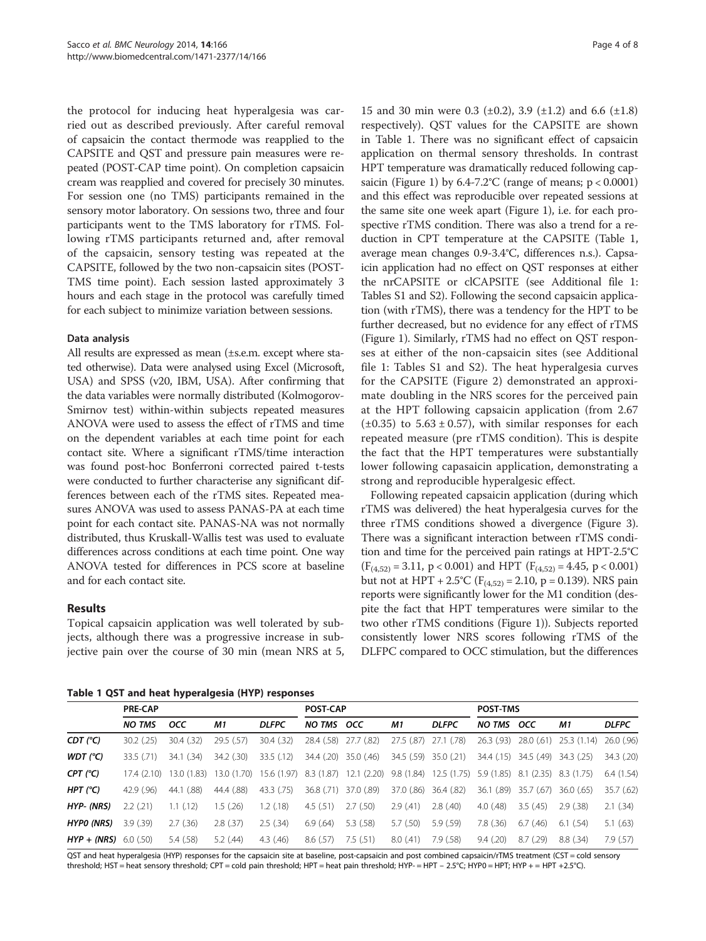the protocol for inducing heat hyperalgesia was carried out as described previously. After careful removal of capsaicin the contact thermode was reapplied to the CAPSITE and QST and pressure pain measures were repeated (POST-CAP time point). On completion capsaicin cream was reapplied and covered for precisely 30 minutes. For session one (no TMS) participants remained in the sensory motor laboratory. On sessions two, three and four participants went to the TMS laboratory for rTMS. Following rTMS participants returned and, after removal of the capsaicin, sensory testing was repeated at the CAPSITE, followed by the two non-capsaicin sites (POST-TMS time point). Each session lasted approximately 3 hours and each stage in the protocol was carefully timed for each subject to minimize variation between sessions.

#### Data analysis

All results are expressed as mean (±s.e.m. except where stated otherwise). Data were analysed using Excel (Microsoft, USA) and SPSS (v20, IBM, USA). After confirming that the data variables were normally distributed (Kolmogorov-Smirnov test) within-within subjects repeated measures ANOVA were used to assess the effect of rTMS and time on the dependent variables at each time point for each contact site. Where a significant rTMS/time interaction was found post-hoc Bonferroni corrected paired t-tests were conducted to further characterise any significant differences between each of the rTMS sites. Repeated measures ANOVA was used to assess PANAS-PA at each time point for each contact site. PANAS-NA was not normally distributed, thus Kruskall-Wallis test was used to evaluate differences across conditions at each time point. One way ANOVA tested for differences in PCS score at baseline and for each contact site.

#### Results

Topical capsaicin application was well tolerated by subjects, although there was a progressive increase in subjective pain over the course of 30 min (mean NRS at 5,

Table 1 QST and heat hyperalgesia (HYP) responses

15 and 30 min were 0.3 ( $\pm$ 0.2), 3.9 ( $\pm$ 1.2) and 6.6 ( $\pm$ 1.8) respectively). QST values for the CAPSITE are shown in Table 1. There was no significant effect of capsaicin application on thermal sensory thresholds. In contrast HPT temperature was dramatically reduced following cap-saicin (Figure [1\)](#page-5-0) by  $6.4$ -7.2°C (range of means;  $p < 0.0001$ ) and this effect was reproducible over repeated sessions at the same site one week apart (Figure [1\)](#page-5-0), i.e. for each prospective rTMS condition. There was also a trend for a reduction in CPT temperature at the CAPSITE (Table 1, average mean changes 0.9-3.4°C, differences n.s.). Capsaicin application had no effect on QST responses at either the nrCAPSITE or clCAPSITE (see Additional file [1](#page-7-0): Tables S1 and S2). Following the second capsaicin application (with rTMS), there was a tendency for the HPT to be further decreased, but no evidence for any effect of rTMS (Figure [1](#page-5-0)). Similarly, rTMS had no effect on QST responses at either of the non-capsaicin sites (see Additional file [1](#page-7-0): Tables S1 and S2). The heat hyperalgesia curves for the CAPSITE (Figure [2\)](#page-5-0) demonstrated an approximate doubling in the NRS scores for the perceived pain at the HPT following capsaicin application (from 2.67  $(\pm 0.35)$  to  $5.63 \pm 0.57$ , with similar responses for each repeated measure (pre rTMS condition). This is despite the fact that the HPT temperatures were substantially lower following capasaicin application, demonstrating a strong and reproducible hyperalgesic effect.

Following repeated capsaicin application (during which rTMS was delivered) the heat hyperalgesia curves for the three rTMS conditions showed a divergence (Figure [3](#page-6-0)). There was a significant interaction between rTMS condition and time for the perceived pain ratings at HPT-2.5°C  $(F_{(4,52)} = 3.11, p < 0.001)$  and HPT  $(F_{(4,52)} = 4.45, p < 0.001)$ but not at HPT + 2.5°C ( $F_{(4.52)}$  = 2.10, p = 0.139). NRS pain reports were significantly lower for the M1 condition (despite the fact that HPT temperatures were similar to the two other rTMS conditions (Figure [1](#page-5-0))). Subjects reported consistently lower NRS scores following rTMS of the DLFPC compared to OCC stimulation, but the differences

|                         | $1.4001$ $\sigma$ $1.4001$ $\sigma$ $1.4001$ $\sigma$ $1.400$ $\sigma$ $1.400$ $\sigma$ $1.400$ $\sigma$ $1.400$ $\sigma$<br><b>PRE-CAP</b> |             |             |                                                                                                                                | POST-CAP              |                       |            |                       | <b>POST-TMS</b> |                                  |                        |              |
|-------------------------|---------------------------------------------------------------------------------------------------------------------------------------------|-------------|-------------|--------------------------------------------------------------------------------------------------------------------------------|-----------------------|-----------------------|------------|-----------------------|-----------------|----------------------------------|------------------------|--------------|
|                         | <b>NO TMS</b>                                                                                                                               | occ         | M1          | <b>DLFPC</b>                                                                                                                   | NO TMS OCC            |                       | M1         | <b>DLFPC</b>          | NO TMS OCC      |                                  | M1                     | <b>DLFPC</b> |
| $CDT$ (°C)              | $30.2$ (.25)                                                                                                                                | 30.4(.32)   | 29.5(.57)   | 30.4(.32)                                                                                                                      | 28.4 (.58) 27.7 (.82) |                       | 27.5 (.87) | 27.1 (.78)            | $26.3$ (.93)    |                                  | 28.0 (.61) 25.3 (1.14) | $26.0$ (.96) |
| $WDT$ (°C)              | 33.5 (.71)                                                                                                                                  | 34.1 (.34)  | 34.2 (.30)  | $33.5$ (.12)                                                                                                                   |                       | 34.4 (.20) 35.0 (.46) |            | 34.5 (.59) 35.0 (.21) |                 | 34.4 (.15) 34.5 (.49) 34.3 (.25) |                        | 34.3 (.20)   |
| $CPT$ (°C)              |                                                                                                                                             |             |             | 17.4 (2.10) 13.0 (1.83) 13.0 (1.70) 15.6 (1.97) 8.3 (1.87) 12.1 (2.20) 9.8 (1.84) 12.5 (1.75) 5.9 (1.85) 8.1 (2.35) 8.3 (1.75) |                       |                       |            |                       |                 |                                  |                        | 6.4(1.54)    |
| HPT $(^{\circ}C)$       | 42.9 (.96)                                                                                                                                  | 44.1 (.88)  | 44.4 (.88)  | 43.3 (.75)                                                                                                                     |                       | 36.8 (.71) 37.0 (.89) | 37.0 (.86) | 36.4 (.82)            |                 | 36.1 (.89) 35.7 (.67) 36.0 (.65) |                        | 35.7(62)     |
| HYP- (NRS)              | $2.2$ (.21)                                                                                                                                 | $1.1$ (.12) | $1.5$ (.26) | $1.2$ (.18)                                                                                                                    | 4.5(.51)              | 2.7(.50)              | 2.9(41)    | 2.8(40)               | 4.0(48)         | 3.5(45)                          | 2.9(0.38)              | $2.1$ (.34)  |
| <b>HYPO (NRS)</b>       | 3.9(39)                                                                                                                                     | 2.7(0.36)   | $2.8$ (.37) | 2.5(.34)                                                                                                                       | 6.9(64)               | 5.3(.58)              | 5.7(.50)   | 5.9(.59)              | $7.8$ (.36)     | 6.7(46)                          | $6.1$ (.54)            | $5.1$ (.63)  |
| $HYP + (NRS)$ 6.0 (.50) |                                                                                                                                             | 5.4(.58)    | $5.2$ (.44) | 4.3(46)                                                                                                                        | $8.6$ (.57)           | 7.5(.51)              | 8.0(41)    | 7.9 (.58)             | 9.4(.20)        | $8.7$ (.29)                      | 8.8(.34)               | 7.9(57)      |

QST and heat hyperalgesia (HYP) responses for the capsaicin site at baseline, post-capsaicin and post combined capsaicin/rTMS treatment (CST = cold sensory threshold; HST = heat sensory threshold; CPT = cold pain threshold; HPT = heat pain threshold; HYP- = HPT - 2.5°C; HYP0 = HPT; HYP + = HPT +2.5°C).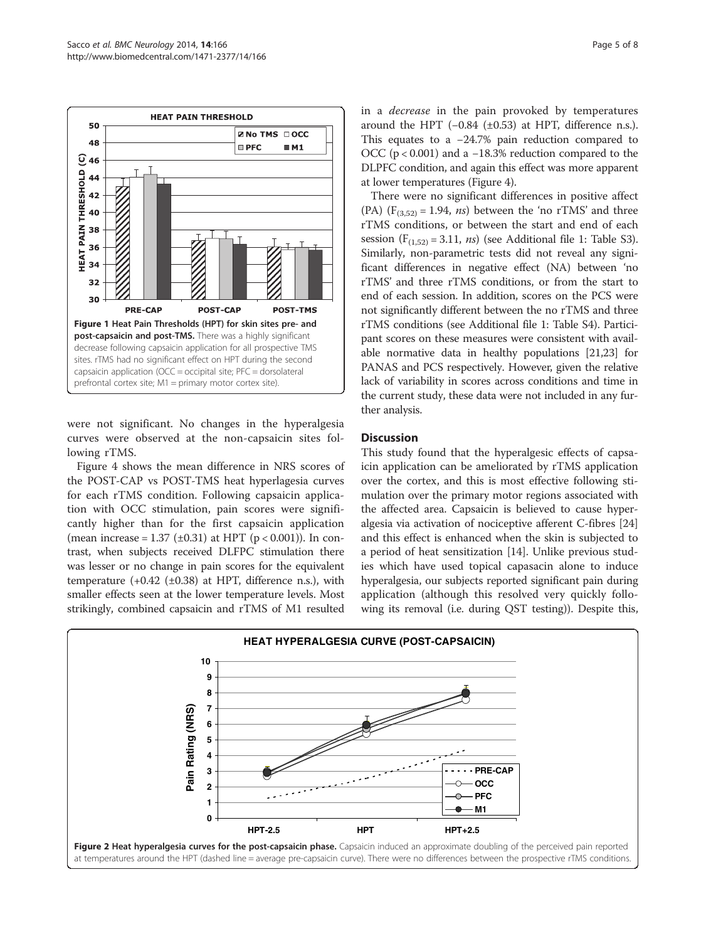<span id="page-5-0"></span>

were not significant. No changes in the hyperalgesia curves were observed at the non-capsaicin sites following rTMS.

Figure [4](#page-6-0) shows the mean difference in NRS scores of the POST-CAP vs POST-TMS heat hyperlagesia curves for each rTMS condition. Following capsaicin application with OCC stimulation, pain scores were significantly higher than for the first capsaicin application (mean increase =  $1.37$  ( $\pm 0.31$ ) at HPT ( $p < 0.001$ )). In contrast, when subjects received DLFPC stimulation there was lesser or no change in pain scores for the equivalent temperature  $(+0.42 \text{ } (\pm 0.38)$  at HPT, difference n.s.), with smaller effects seen at the lower temperature levels. Most strikingly, combined capsaicin and rTMS of M1 resulted in a decrease in the pain provoked by temperatures around the HPT  $(-0.84 \text{ } (\pm 0.53) \text{ at HPT}, \text{ difference n.s.}).$ This equates to a −24.7% pain reduction compared to OCC (p < 0.001) and a −18.3% reduction compared to the DLPFC condition, and again this effect was more apparent at lower temperatures (Figure [4\)](#page-6-0).

There were no significant differences in positive affect (PA)  $(F_{(3,52)} = 1.94, ns)$  between the 'no rTMS' and three rTMS conditions, or between the start and end of each session ( $F_{(1,52)} = 3.11$ , *ns*) (see Additional file [1](#page-7-0): Table S3). Similarly, non-parametric tests did not reveal any significant differences in negative effect (NA) between 'no rTMS' and three rTMS conditions, or from the start to end of each session. In addition, scores on the PCS were not significantly different between the no rTMS and three rTMS conditions (see Additional file [1](#page-7-0): Table S4). Participant scores on these measures were consistent with available normative data in healthy populations [\[21,23\]](#page-8-0) for PANAS and PCS respectively. However, given the relative lack of variability in scores across conditions and time in the current study, these data were not included in any further analysis.

#### **Discussion**

This study found that the hyperalgesic effects of capsaicin application can be ameliorated by rTMS application over the cortex, and this is most effective following stimulation over the primary motor regions associated with the affected area. Capsaicin is believed to cause hyperalgesia via activation of nociceptive afferent C-fibres [[24](#page-8-0)] and this effect is enhanced when the skin is subjected to a period of heat sensitization [[14\]](#page-8-0). Unlike previous studies which have used topical capasacin alone to induce hyperalgesia, our subjects reported significant pain during application (although this resolved very quickly following its removal (i.e. during QST testing)). Despite this,

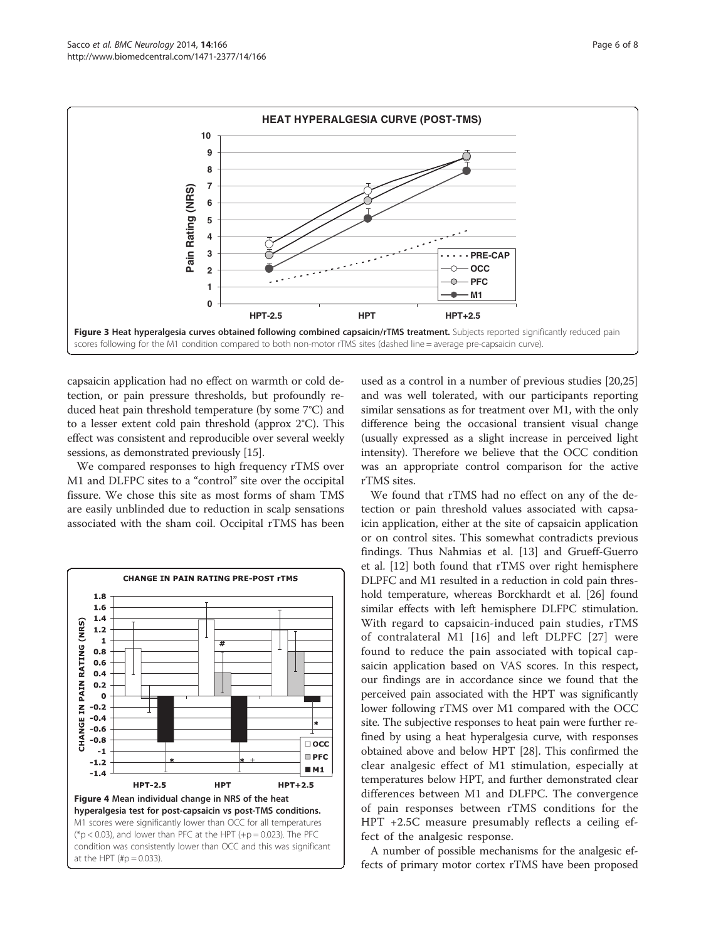<span id="page-6-0"></span>

capsaicin application had no effect on warmth or cold detection, or pain pressure thresholds, but profoundly reduced heat pain threshold temperature (by some 7°C) and to a lesser extent cold pain threshold (approx 2°C). This effect was consistent and reproducible over several weekly sessions, as demonstrated previously [\[15](#page-8-0)].

We compared responses to high frequency rTMS over M1 and DLFPC sites to a "control" site over the occipital fissure. We chose this site as most forms of sham TMS are easily unblinded due to reduction in scalp sensations associated with the sham coil. Occipital rTMS has been



used as a control in a number of previous studies [[20](#page-8-0),[25](#page-8-0)] and was well tolerated, with our participants reporting similar sensations as for treatment over M1, with the only difference being the occasional transient visual change (usually expressed as a slight increase in perceived light intensity). Therefore we believe that the OCC condition was an appropriate control comparison for the active rTMS sites.

We found that rTMS had no effect on any of the detection or pain threshold values associated with capsaicin application, either at the site of capsaicin application or on control sites. This somewhat contradicts previous findings. Thus Nahmias et al. [\[13\]](#page-8-0) and Grueff-Guerro et al. [\[12\]](#page-8-0) both found that rTMS over right hemisphere DLPFC and M1 resulted in a reduction in cold pain threshold temperature, whereas Borckhardt et al. [[26](#page-8-0)] found similar effects with left hemisphere DLFPC stimulation. With regard to capsaicin-induced pain studies, rTMS of contralateral M1 [[16\]](#page-8-0) and left DLPFC [[27\]](#page-8-0) were found to reduce the pain associated with topical capsaicin application based on VAS scores. In this respect, our findings are in accordance since we found that the perceived pain associated with the HPT was significantly lower following rTMS over M1 compared with the OCC site. The subjective responses to heat pain were further refined by using a heat hyperalgesia curve, with responses obtained above and below HPT [\[28](#page-8-0)]. This confirmed the clear analgesic effect of M1 stimulation, especially at temperatures below HPT, and further demonstrated clear differences between M1 and DLFPC. The convergence of pain responses between rTMS conditions for the HPT +2.5C measure presumably reflects a ceiling effect of the analgesic response.

A number of possible mechanisms for the analgesic effects of primary motor cortex rTMS have been proposed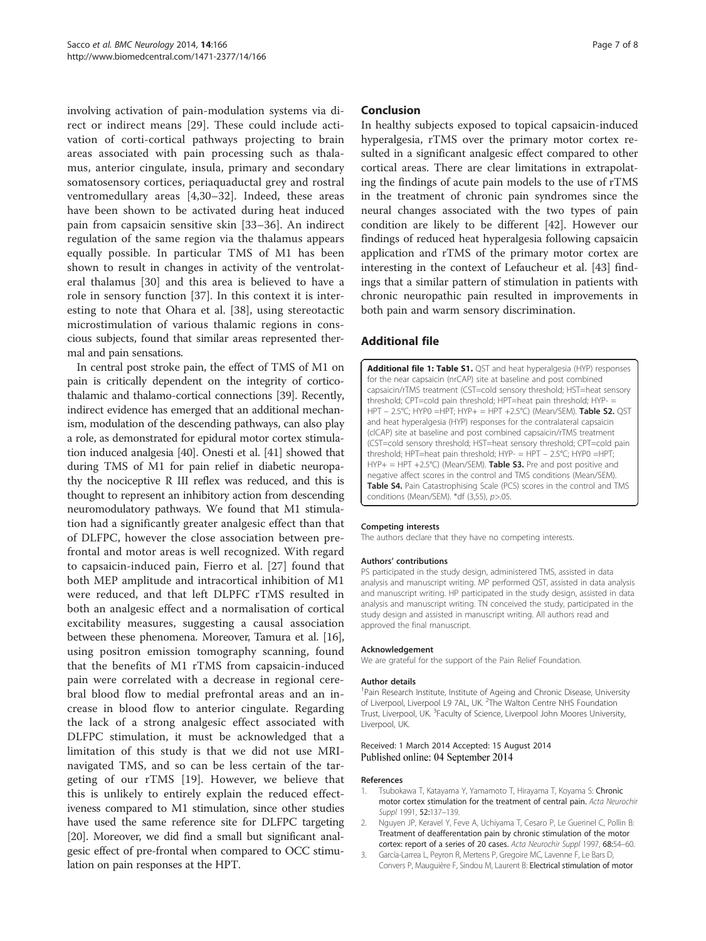<span id="page-7-0"></span>involving activation of pain-modulation systems via direct or indirect means [[29](#page-8-0)]. These could include activation of corti-cortical pathways projecting to brain areas associated with pain processing such as thalamus, anterior cingulate, insula, primary and secondary somatosensory cortices, periaquaductal grey and rostral ventromedullary areas [[4,30](#page-8-0)–[32](#page-8-0)]. Indeed, these areas have been shown to be activated during heat induced pain from capsaicin sensitive skin [[33](#page-8-0)–[36\]](#page-8-0). An indirect regulation of the same region via the thalamus appears equally possible. In particular TMS of M1 has been shown to result in changes in activity of the ventrolateral thalamus [[30](#page-8-0)] and this area is believed to have a role in sensory function [[37](#page-8-0)]. In this context it is interesting to note that Ohara et al. [[38\]](#page-8-0), using stereotactic microstimulation of various thalamic regions in conscious subjects, found that similar areas represented thermal and pain sensations.

In central post stroke pain, the effect of TMS of M1 on pain is critically dependent on the integrity of corticothalamic and thalamo-cortical connections [\[39\]](#page-8-0). Recently, indirect evidence has emerged that an additional mechanism, modulation of the descending pathways, can also play a role, as demonstrated for epidural motor cortex stimulation induced analgesia [[40](#page-8-0)]. Onesti et al. [[41](#page-8-0)] showed that during TMS of M1 for pain relief in diabetic neuropathy the nociceptive R III reflex was reduced, and this is thought to represent an inhibitory action from descending neuromodulatory pathways. We found that M1 stimulation had a significantly greater analgesic effect than that of DLFPC, however the close association between prefrontal and motor areas is well recognized. With regard to capsaicin-induced pain, Fierro et al. [[27\]](#page-8-0) found that both MEP amplitude and intracortical inhibition of M1 were reduced, and that left DLPFC rTMS resulted in both an analgesic effect and a normalisation of cortical excitability measures, suggesting a causal association between these phenomena. Moreover, Tamura et al. [[16](#page-8-0)], using positron emission tomography scanning, found that the benefits of M1 rTMS from capsaicin-induced pain were correlated with a decrease in regional cerebral blood flow to medial prefrontal areas and an increase in blood flow to anterior cingulate. Regarding the lack of a strong analgesic effect associated with DLFPC stimulation, it must be acknowledged that a limitation of this study is that we did not use MRInavigated TMS, and so can be less certain of the targeting of our rTMS [\[19](#page-8-0)]. However, we believe that this is unlikely to entirely explain the reduced effectiveness compared to M1 stimulation, since other studies have used the same reference site for DLFPC targeting [[20](#page-8-0)]. Moreover, we did find a small but significant analgesic effect of pre-frontal when compared to OCC stimulation on pain responses at the HPT.

#### Conclusion

In healthy subjects exposed to topical capsaicin-induced hyperalgesia, rTMS over the primary motor cortex resulted in a significant analgesic effect compared to other cortical areas. There are clear limitations in extrapolating the findings of acute pain models to the use of rTMS in the treatment of chronic pain syndromes since the neural changes associated with the two types of pain condition are likely to be different [[42\]](#page-8-0). However our findings of reduced heat hyperalgesia following capsaicin application and rTMS of the primary motor cortex are interesting in the context of Lefaucheur et al. [\[43](#page-8-0)] findings that a similar pattern of stimulation in patients with chronic neuropathic pain resulted in improvements in both pain and warm sensory discrimination.

#### Additional file

[Additional file 1: Table S1.](http://www.biomedcentral.com/content/supplementary/s12883-014-0166-3-s1.pdf) QST and heat hyperalgesia (HYP) responses for the near capsaicin (nrCAP) site at baseline and post combined capsaicin/rTMS treatment (CST=cold sensory threshold; HST=heat sensory threshold; CPT=cold pain threshold; HPT=heat pain threshold; HYP- = HPT – 2.5°C; HYP0 =HPT; HYP+ = HPT +2.5°C) (Mean/SEM). Table S2. QST and heat hyperalgesia (HYP) responses for the contralateral capsaicin (clCAP) site at baseline and post combined capsaicin/rTMS treatment (CST=cold sensory threshold; HST=heat sensory threshold; CPT=cold pain threshold; HPT=heat pain threshold; HYP- = HPT – 2.5°C; HYP0 =HPT;  $HYP+=HPT+2.5°C$  (Mean/SEM). Table S3. Pre and post positive and negative affect scores in the control and TMS conditions (Mean/SEM). Table S4. Pain Catastrophising Scale (PCS) scores in the control and TMS conditions (Mean/SEM). \*df (3,55), p>.05.

#### Competing interests

The authors declare that they have no competing interests.

#### Authors' contributions

PS participated in the study design, administered TMS, assisted in data analysis and manuscript writing. MP performed QST, assisted in data analysis and manuscript writing. HP participated in the study design, assisted in data analysis and manuscript writing. TN conceived the study, participated in the study design and assisted in manuscript writing. All authors read and approved the final manuscript.

#### Acknowledgement

We are grateful for the support of the Pain Relief Foundation.

#### Author details

<sup>1</sup>Pain Research Institute, Institute of Ageing and Chronic Disease, University of Liverpool, Liverpool L9 7AL, UK. <sup>2</sup>The Walton Centre NHS Foundation Trust, Liverpool, UK. <sup>3</sup>Faculty of Science, Liverpool John Moores University Liverpool, UK.

#### Received: 1 March 2014 Accepted: 15 August 2014 Published online: 04 September 2014

#### References

- 1. Tsubokawa T, Katayama Y, Yamamoto T, Hirayama T, Koyama S: Chronic motor cortex stimulation for the treatment of central pain. Acta Neurochir Suppl 1991, 52:137–139.
- 2. Nguyen JP, Keravel Y, Feve A, Uchiyama T, Cesaro P, Le Guerinel C, Pollin B: Treatment of deafferentation pain by chronic stimulation of the motor cortex: report of a series of 20 cases. Acta Neurochir Suppl 1997, 68:54–60.
- 3. García-Larrea L, Peyron R, Mertens P, Gregoire MC, Lavenne F, Le Bars D, Convers P, Mauguière F, Sindou M, Laurent B: Electrical stimulation of motor